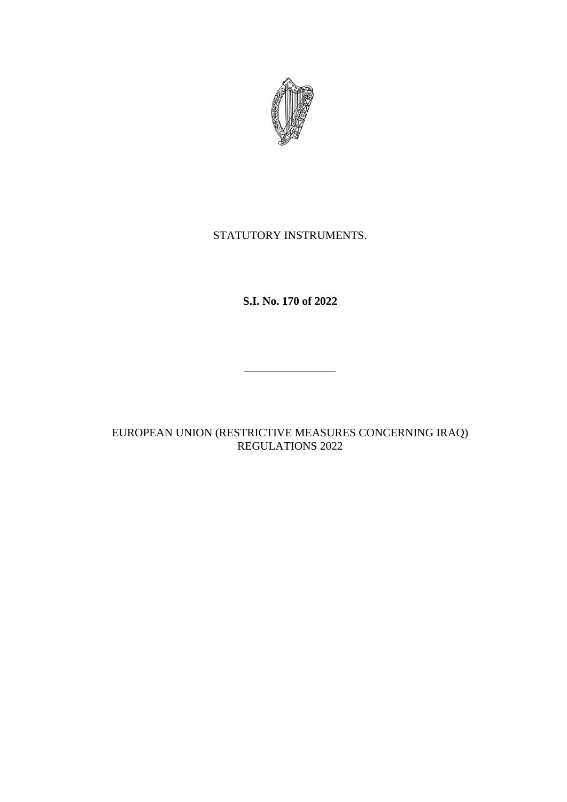

# STATUTORY INSTRUMENTS.

# **S.I. No. 170 of 2022**

\_\_\_\_\_\_\_\_\_\_\_\_\_\_\_\_

## EUROPEAN UNION (RESTRICTIVE MEASURES CONCERNING IRAQ) REGULATIONS 2022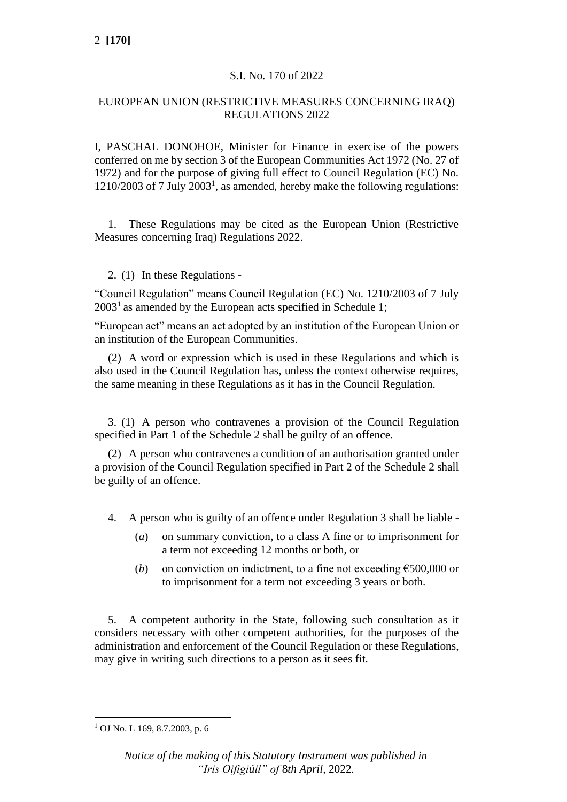## S.I. No. 170 of 2022

## EUROPEAN UNION (RESTRICTIVE MEASURES CONCERNING IRAQ) REGULATIONS 2022

I, PASCHAL DONOHOE, Minister for Finance in exercise of the powers conferred on me by section 3 of the European Communities Act 1972 (No. 27 of 1972) and for the purpose of giving full effect to Council Regulation (EC) No. 1210/2003 of 7 July 2003<sup>1</sup> , as amended, hereby make the following regulations:

1. These Regulations may be cited as the European Union (Restrictive Measures concerning Iraq) Regulations 2022.

## 2. (1) In these Regulations -

"Council Regulation" means Council Regulation (EC) No. 1210/2003 of 7 July  $2003<sup>1</sup>$  as amended by the European acts specified in Schedule 1;

"European act" means an act adopted by an institution of the European Union or an institution of the European Communities.

(2) A word or expression which is used in these Regulations and which is also used in the Council Regulation has, unless the context otherwise requires, the same meaning in these Regulations as it has in the Council Regulation.

3. (1) A person who contravenes a provision of the Council Regulation specified in Part 1 of the Schedule 2 shall be guilty of an offence.

(2) A person who contravenes a condition of an authorisation granted under a provision of the Council Regulation specified in Part 2 of the Schedule 2 shall be guilty of an offence.

- 4. A person who is guilty of an offence under Regulation 3 shall be liable
	- (*a*) on summary conviction, to a class A fine or to imprisonment for a term not exceeding 12 months or both, or
	- (*b*) on conviction on indictment, to a fine not exceeding  $\epsilon$ 500,000 or to imprisonment for a term not exceeding 3 years or both.

5. A competent authority in the State, following such consultation as it considers necessary with other competent authorities, for the purposes of the administration and enforcement of the Council Regulation or these Regulations, may give in writing such directions to a person as it sees fit.

<sup>1</sup> OJ No. L 169, 8.7.2003, p. 6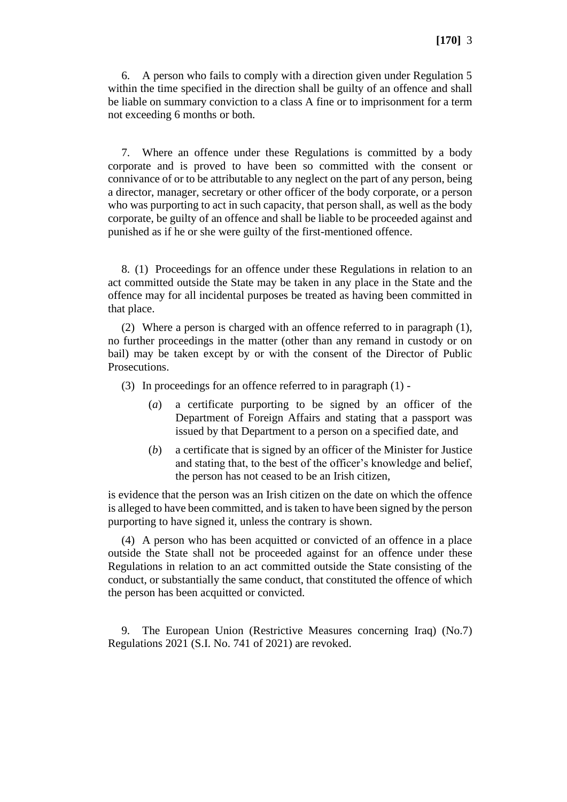6. A person who fails to comply with a direction given under Regulation 5 within the time specified in the direction shall be guilty of an offence and shall be liable on summary conviction to a class A fine or to imprisonment for a term not exceeding 6 months or both.

7. Where an offence under these Regulations is committed by a body corporate and is proved to have been so committed with the consent or connivance of or to be attributable to any neglect on the part of any person, being a director, manager, secretary or other officer of the body corporate, or a person who was purporting to act in such capacity, that person shall, as well as the body corporate, be guilty of an offence and shall be liable to be proceeded against and punished as if he or she were guilty of the first-mentioned offence.

8. (1) Proceedings for an offence under these Regulations in relation to an act committed outside the State may be taken in any place in the State and the offence may for all incidental purposes be treated as having been committed in that place.

(2) Where a person is charged with an offence referred to in paragraph (1), no further proceedings in the matter (other than any remand in custody or on bail) may be taken except by or with the consent of the Director of Public Prosecutions.

- (3) In proceedings for an offence referred to in paragraph (1)
	- (*a*) a certificate purporting to be signed by an officer of the Department of Foreign Affairs and stating that a passport was issued by that Department to a person on a specified date, and
	- (*b*) a certificate that is signed by an officer of the Minister for Justice and stating that, to the best of the officer's knowledge and belief, the person has not ceased to be an Irish citizen,

is evidence that the person was an Irish citizen on the date on which the offence is alleged to have been committed, and is taken to have been signed by the person purporting to have signed it, unless the contrary is shown.

(4) A person who has been acquitted or convicted of an offence in a place outside the State shall not be proceeded against for an offence under these Regulations in relation to an act committed outside the State consisting of the conduct, or substantially the same conduct, that constituted the offence of which the person has been acquitted or convicted.

9. The European Union (Restrictive Measures concerning Iraq) (No.7) Regulations 2021 (S.I. No. 741 of 2021) are revoked.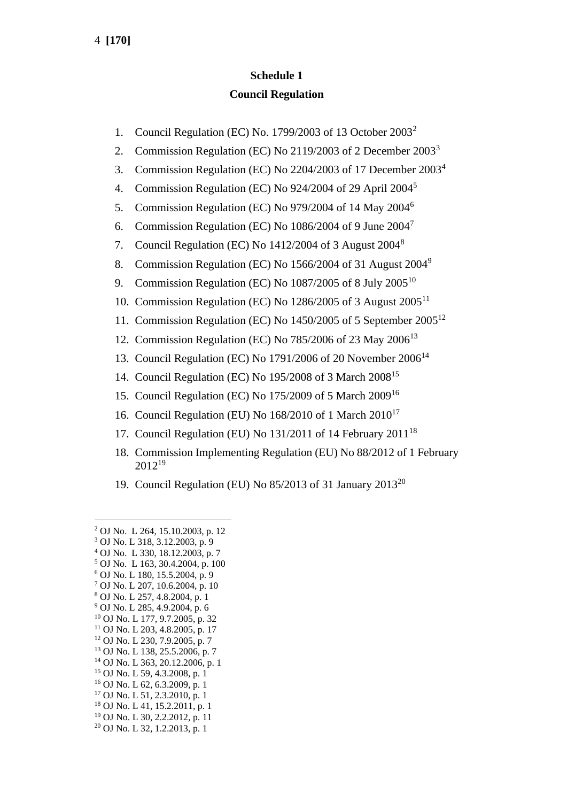# **Schedule 1 Council Regulation**

- 1. Council Regulation (EC) No. 1799/2003 of 13 October 2003<sup>2</sup>
- 2. Commission Regulation (EC) No 2119/2003 of 2 December 2003<sup>3</sup>
- 3. Commission Regulation (EC) No 2204/2003 of 17 December 2003<sup>4</sup>
- 4. Commission Regulation (EC) No 924/2004 of 29 April 2004<sup>5</sup>
- 5. Commission Regulation (EC) No 979/2004 of 14 May 2004<sup>6</sup>
- 6. Commission Regulation (EC) No 1086/2004 of 9 June 2004<sup>7</sup>
- 7. Council Regulation (EC) No 1412/2004 of 3 August 2004<sup>8</sup>
- 8. Commission Regulation (EC) No 1566/2004 of 31 August 2004<sup>9</sup>
- 9. Commission Regulation (EC) No  $1087/2005$  of 8 July  $2005^{10}$
- 10. Commission Regulation (EC) No 1286/2005 of 3 August 2005<sup>11</sup>
- 11. Commission Regulation (EC) No 1450/2005 of 5 September 2005<sup>12</sup>
- 12. Commission Regulation (EC) No 785/2006 of 23 May 2006<sup>13</sup>
- 13. Council Regulation (EC) No 1791/2006 of 20 November 2006<sup>14</sup>
- 14. Council Regulation (EC) No 195/2008 of 3 March 2008<sup>15</sup>
- 15. Council Regulation (EC) No 175/2009 of 5 March 2009<sup>16</sup>
- 16. Council Regulation (EU) No 168/2010 of 1 March 2010<sup>17</sup>
- 17. Council Regulation (EU) No  $131/2011$  of 14 February  $2011^{18}$
- 18. Commission Implementing Regulation (EU) No 88/2012 of 1 February 2012<sup>19</sup>
- 19. Council Regulation (EU) No  $85/2013$  of 31 January  $2013^{20}$

- <sup>6</sup> OJ No. L 180, 15.5.2004, p. 9
- <sup>7</sup> OJ No. L 207, 10.6.2004, p. 10
- <sup>8</sup> OJ No. L 257, 4.8.2004, p. 1

- <sup>12</sup> OJ No. L 230, 7.9.2005, p. 7
- <sup>13</sup> OJ No. L 138, 25.5.2006, p. 7
- <sup>14</sup> OJ No. L 363, 20.12.2006, p. 1
- <sup>15</sup> OJ No. L 59, 4.3.2008, p. 1
- <sup>16</sup> OJ No. L 62, 6.3.2009, p. 1 <sup>17</sup> OJ No. L 51, 2.3.2010, p. 1
- <sup>18</sup> OJ No. L 41, 15.2.2011, p. 1
- <sup>19</sup> OJ No. L 30, 2.2.2012, p. 11
- <sup>20</sup> OJ No. L 32, 1.2.2013, p. 1

<sup>2</sup> OJ No. L 264, 15.10.2003, p. 12

<sup>3</sup> OJ No. L 318, 3.12.2003, p. 9

<sup>4</sup> OJ No. L 330, 18.12.2003, p. 7 <sup>5</sup> OJ No. L 163, 30.4.2004, p. 100

<sup>9</sup> OJ No. L 285, 4.9.2004, p. 6

<sup>10</sup> OJ No. L 177, 9.7.2005, p. 32

<sup>11</sup> OJ No. L 203, 4.8.2005, p. 17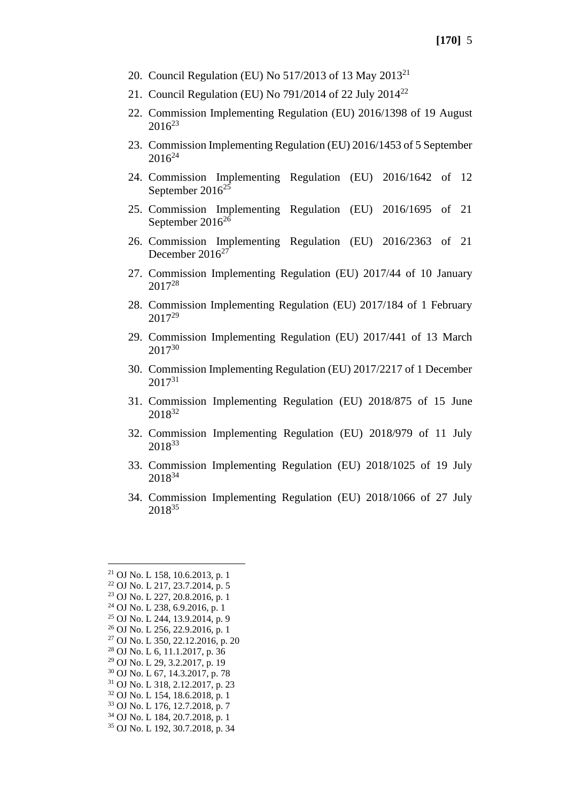- 20. Council Regulation (EU) No 517/2013 of 13 May 2013<sup>21</sup>
- 21. Council Regulation (EU) No 791/2014 of 22 July 2014<sup>22</sup>
- 22. Commission Implementing Regulation (EU) 2016/1398 of 19 August  $2016^{23}$
- 23. Commission Implementing Regulation (EU) 2016/1453 of 5 September  $2016^{24}$
- 24. Commission Implementing Regulation (EU) 2016/1642 of 12 September  $2016^{25}$
- 25. Commission Implementing Regulation (EU) 2016/1695 of 21 September 2016<sup>26</sup>
- 26. Commission Implementing Regulation (EU) 2016/2363 of 21 December 2016<sup>27</sup>
- 27. Commission Implementing Regulation (EU) 2017/44 of 10 January 2017<sup>28</sup>
- 28. Commission Implementing Regulation (EU) 2017/184 of 1 February 2017<sup>29</sup>
- 29. Commission Implementing Regulation (EU) 2017/441 of 13 March 2017<sup>30</sup>
- 30. Commission Implementing Regulation (EU) 2017/2217 of 1 December  $2017^{31}$
- 31. Commission Implementing Regulation (EU) 2018/875 of 15 June 2018<sup>32</sup>
- 32. Commission Implementing Regulation (EU) 2018/979 of 11 July 2018<sup>33</sup>
- 33. Commission Implementing Regulation (EU) 2018/1025 of 19 July 2018<sup>34</sup>
- 34. Commission Implementing Regulation (EU) 2018/1066 of 27 July 2018<sup>35</sup>

<sup>21</sup> OJ No. L 158, 10.6.2013, p. 1 <sup>22</sup> OJ No. L 217, 23.7.2014, p. 5 <sup>23</sup> OJ No. L 227, 20.8.2016, p. 1 <sup>24</sup> OJ No. L 238, 6.9.2016, p. 1 <sup>25</sup> OJ No. L 244, 13.9.2014, p. 9 <sup>26</sup> OJ No. L 256, 22.9.2016, p. 1 <sup>27</sup> OJ No. L 350, 22.12.2016, p. 20 <sup>28</sup> OJ No. L 6, 11.1.2017, p. 36 <sup>29</sup> OJ No. L 29, 3.2.2017, p. 19 <sup>30</sup> OJ No. L 67, 14.3.2017, p. 78 <sup>31</sup> OJ No. L 318, 2.12.2017, p. 23 <sup>32</sup> OJ No. L 154, 18.6.2018, p. 1 <sup>33</sup> OJ No. L 176, 12.7.2018, p. 7 <sup>34</sup> OJ No. L 184, 20.7.2018, p. 1 <sup>35</sup> OJ No. L 192, 30.7.2018, p. 34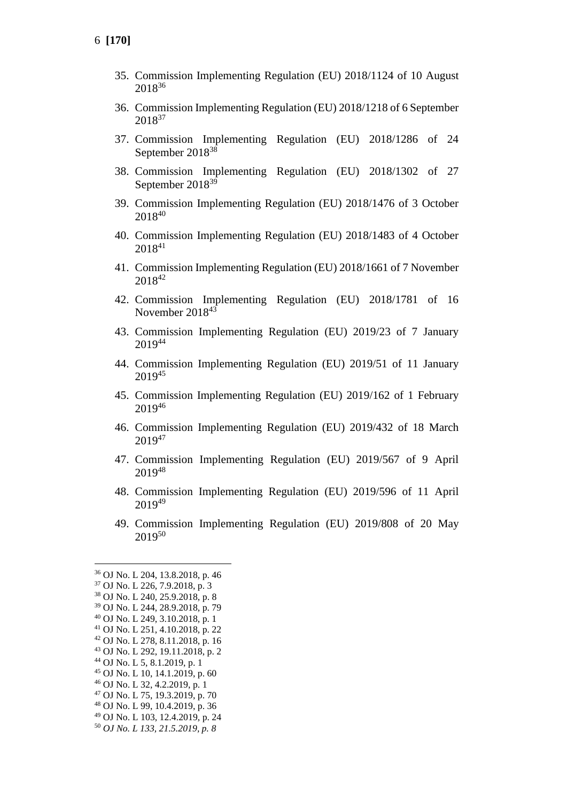- 35. Commission Implementing Regulation (EU) 2018/1124 of 10 August <sup>36</sup>
- 36. Commission Implementing Regulation (EU) 2018/1218 of 6 September <sup>37</sup>
- 37. Commission Implementing Regulation (EU) 2018/1286 of 24 September 2018<sup>38</sup>
- 38. Commission Implementing Regulation (EU) 2018/1302 of 27 September 2018<sup>39</sup>
- 39. Commission Implementing Regulation (EU) 2018/1476 of 3 October <sup>40</sup>
- 40. Commission Implementing Regulation (EU) 2018/1483 of 4 October <sup>41</sup>
- 41. Commission Implementing Regulation (EU) 2018/1661 of 7 November 42
- 42. Commission Implementing Regulation (EU) 2018/1781 of 16 November 2018<sup>43</sup>
- 43. Commission Implementing Regulation (EU) 2019/23 of 7 January <sup>44</sup>
- 44. Commission Implementing Regulation (EU) 2019/51 of 11 January <sup>45</sup>
- 45. Commission Implementing Regulation (EU) 2019/162 of 1 February <sup>46</sup>
- 46. Commission Implementing Regulation (EU) 2019/432 of 18 March <sup>47</sup>
- 47. Commission Implementing Regulation (EU) 2019/567 of 9 April <sup>48</sup>
- 48. Commission Implementing Regulation (EU) 2019/596 of 11 April <sup>49</sup>
- 49. Commission Implementing Regulation (EU) 2019/808 of 20 May <sup>50</sup>

- OJ No. L 10, 14.1.2019, p. 60
- OJ No. L 32, 4.2.2019, p. 1
- OJ No. L 75, 19.3.2019, p. 70
- OJ No. L 99, 10.4.2019, p. 36
- OJ No. L 103, 12.4.2019, p. 24
- *OJ No. L 133, 21.5.2019, p. 8*

OJ No. L 204, 13.8.2018, p. 46

OJ No. L 226, 7.9.2018, p. 3

OJ No. L 240, 25.9.2018, p. 8

OJ No. L 244, 28.9.2018, p. 79

OJ No. L 249, 3.10.2018, p. 1

 OJ No. L 251, 4.10.2018, p. 22 OJ No. L 278, 8.11.2018, p. 16

OJ No. L 292, 19.11.2018, p. 2

OJ No. L 5, 8.1.2019, p. 1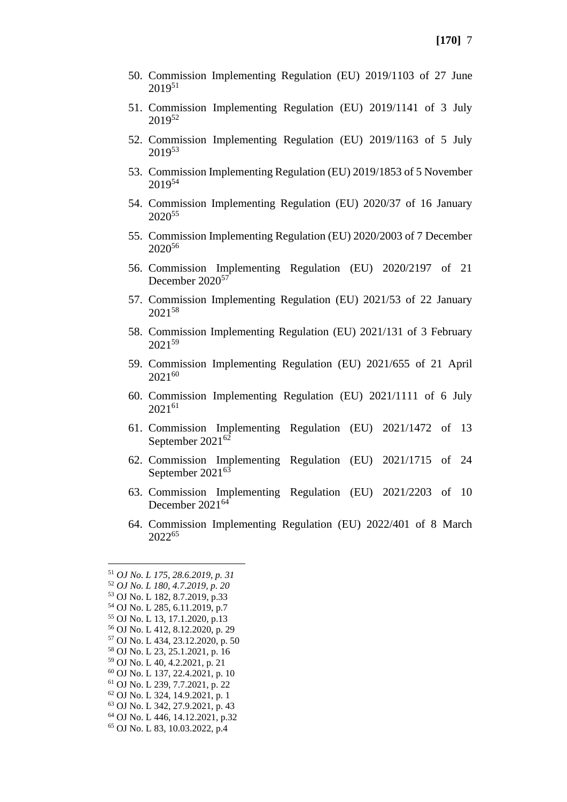- 50. Commission Implementing Regulation (EU) 2019/1103 of 27 June 2019<sup>51</sup>
- 51. Commission Implementing Regulation (EU) 2019/1141 of 3 July 2019<sup>52</sup>
- 52. Commission Implementing Regulation (EU) 2019/1163 of 5 July 2019<sup>53</sup>
- 53. Commission Implementing Regulation (EU) 2019/1853 of 5 November 2019<sup>54</sup>
- 54. Commission Implementing Regulation (EU) 2020/37 of 16 January 2020<sup>55</sup>
- 55. Commission Implementing Regulation (EU) 2020/2003 of 7 December 2020<sup>56</sup>
- 56. Commission Implementing Regulation (EU) 2020/2197 of 21 December 2020<sup>57</sup>
- 57. Commission Implementing Regulation (EU) 2021/53 of 22 January 2021<sup>58</sup>
- 58. Commission Implementing Regulation (EU) 2021/131 of 3 February 202159
- 59. Commission Implementing Regulation (EU) 2021/655 of 21 April 2021<sup>60</sup>
- 60. Commission Implementing Regulation (EU) 2021/1111 of 6 July 2021<sup>61</sup>
- 61. Commission Implementing Regulation (EU) 2021/1472 of 13 September 2021<sup>62</sup>
- 62. Commission Implementing Regulation (EU) 2021/1715 of 24 September 2021<sup>63</sup>
- 63. Commission Implementing Regulation (EU) 2021/2203 of 10 December 2021<sup>64</sup>
- 64. Commission Implementing Regulation (EU) 2022/401 of 8 March 2022<sup>65</sup>

<sup>61</sup> OJ No. L 239, 7.7.2021, p. 22

<sup>64</sup> OJ No. L 446, 14.12.2021, p.32

<sup>51</sup> *OJ No. L 175, 28.6.2019, p. 31*

<sup>52</sup> *OJ No. L 180, 4.7.2019, p. 20*

<sup>53</sup> OJ No. L 182, 8.7.2019, p.33

<sup>54</sup> OJ No. L 285, 6.11.2019, p.7

<sup>55</sup> OJ No. L 13, 17.1.2020, p.13 <sup>56</sup> OJ No. L 412, 8.12.2020, p. 29

<sup>57</sup> OJ No. L 434, 23.12.2020, p. 50

<sup>58</sup> OJ No. L 23, 25.1.2021, p. 16

<sup>59</sup> OJ No. L 40, 4.2.2021, p. 21

<sup>60</sup> OJ No. L 137, 22.4.2021, p. 10

<sup>62</sup> OJ No. L 324, 14.9.2021, p. 1

<sup>63</sup> OJ No. L 342, 27.9.2021, p. 43

<sup>65</sup> OJ No. L 83, 10.03.2022, p.4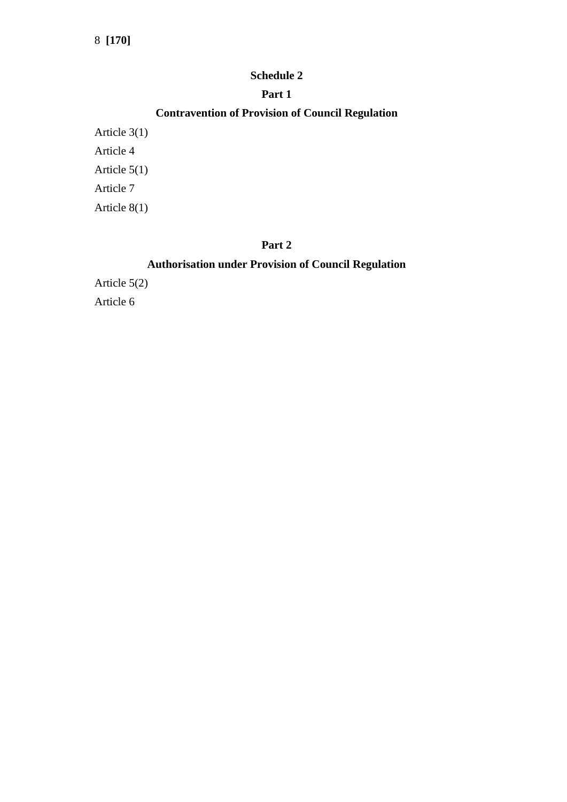#### **Schedule 2**

### **Part 1**

# **Contravention of Provision of Council Regulation**

Article 3(1) Article 4 Article 5(1) Article 7 Article 8(1)

## **Part 2**

## **Authorisation under Provision of Council Regulation**

Article 5(2) Article 6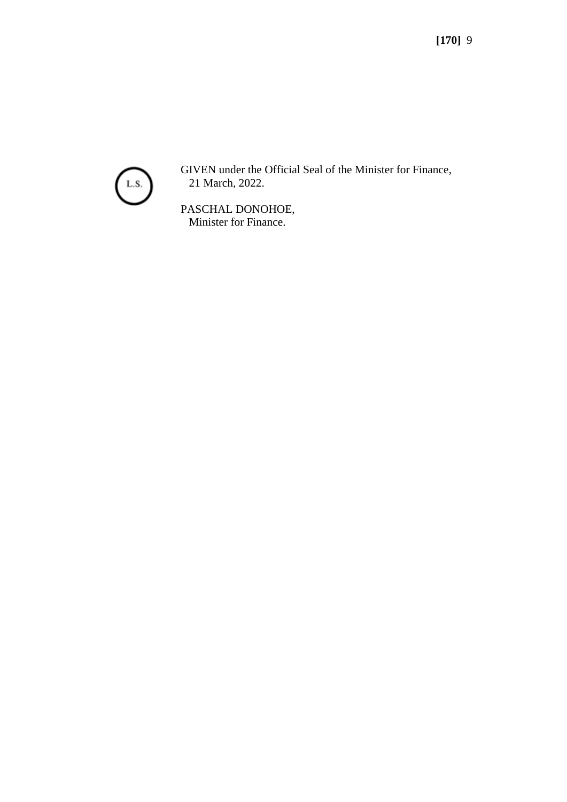

GIVEN under the Official Seal of the Minister for Finance, 21 March, 2022.

PASCHAL DONOHOE, Minister for Finance.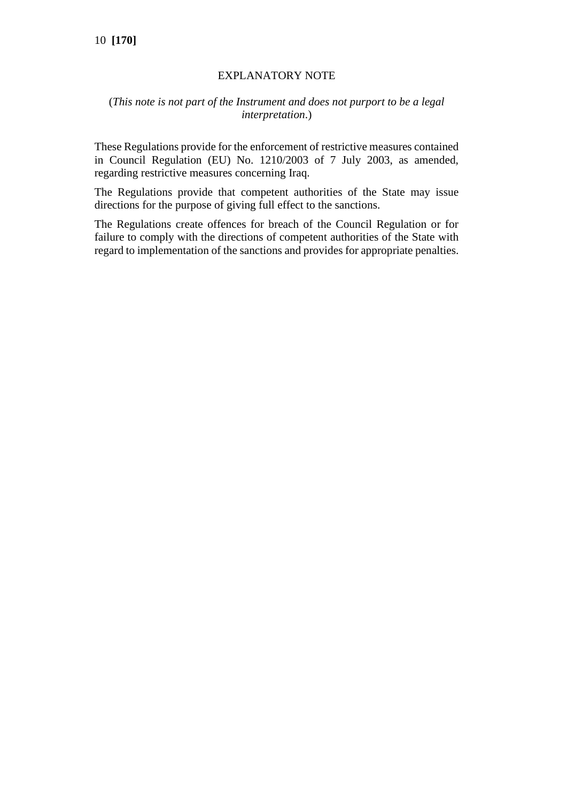## EXPLANATORY NOTE

### (*This note is not part of the Instrument and does not purport to be a legal interpretation*.)

These Regulations provide for the enforcement of restrictive measures contained in Council Regulation (EU) No. 1210/2003 of 7 July 2003, as amended, regarding restrictive measures concerning Iraq.

The Regulations provide that competent authorities of the State may issue directions for the purpose of giving full effect to the sanctions.

The Regulations create offences for breach of the Council Regulation or for failure to comply with the directions of competent authorities of the State with regard to implementation of the sanctions and provides for appropriate penalties.